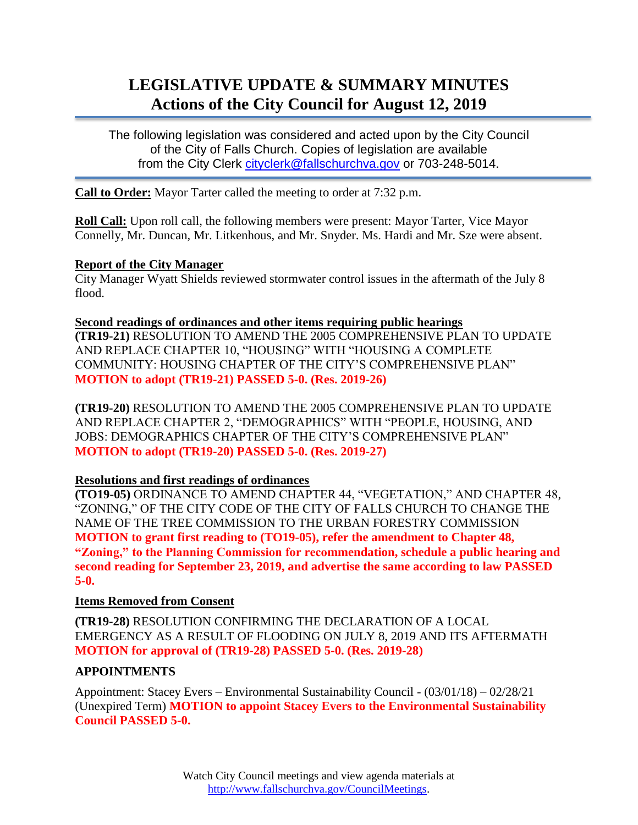# **LEGISLATIVE UPDATE & SUMMARY MINUTES Actions of the City Council for August 12, 2019**

The following legislation was considered and acted upon by the City Council of the City of Falls Church. Copies of legislation are available from the City Clerk [cityclerk@fallschurchva.gov](mailto:cityclerk@fallschurchva.gov) or 703-248-5014.

**Call to Order:** Mayor Tarter called the meeting to order at 7:32 p.m.

**Roll Call:** Upon roll call, the following members were present: Mayor Tarter, Vice Mayor Connelly, Mr. Duncan, Mr. Litkenhous, and Mr. Snyder. Ms. Hardi and Mr. Sze were absent.

#### **Report of the City Manager**

City Manager Wyatt Shields reviewed stormwater control issues in the aftermath of the July 8 flood.

#### **Second readings of ordinances and other items requiring public hearings**

**(TR19-21)** RESOLUTION TO AMEND THE 2005 COMPREHENSIVE PLAN TO UPDATE AND REPLACE CHAPTER 10, "HOUSING" WITH "HOUSING A COMPLETE COMMUNITY: HOUSING CHAPTER OF THE CITY'S COMPREHENSIVE PLAN" **MOTION to adopt (TR19-21) PASSED 5-0. (Res. 2019-26)**

**(TR19-20)** RESOLUTION TO AMEND THE 2005 COMPREHENSIVE PLAN TO UPDATE AND REPLACE CHAPTER 2, "DEMOGRAPHICS" WITH "PEOPLE, HOUSING, AND JOBS: DEMOGRAPHICS CHAPTER OF THE CITY'S COMPREHENSIVE PLAN" **MOTION to adopt (TR19-20) PASSED 5-0. (Res. 2019-27)**

# **Resolutions and first readings of ordinances**

**(TO19-05)** ORDINANCE TO AMEND CHAPTER 44, "VEGETATION," AND CHAPTER 48, "ZONING," OF THE CITY CODE OF THE CITY OF FALLS CHURCH TO CHANGE THE NAME OF THE TREE COMMISSION TO THE URBAN FORESTRY COMMISSION **MOTION to grant first reading to (TO19-05), refer the amendment to Chapter 48, "Zoning," to the Planning Commission for recommendation, schedule a public hearing and second reading for September 23, 2019, and advertise the same according to law PASSED 5-0.**

#### **Items Removed from Consent**

**(TR19-28)** RESOLUTION CONFIRMING THE DECLARATION OF A LOCAL EMERGENCY AS A RESULT OF FLOODING ON JULY 8, 2019 AND ITS AFTERMATH **MOTION for approval of (TR19-28) PASSED 5-0. (Res. 2019-28)**

# **APPOINTMENTS**

Appointment: Stacey Evers – Environmental Sustainability Council - (03/01/18) – 02/28/21 (Unexpired Term) **MOTION to appoint Stacey Evers to the Environmental Sustainability Council PASSED 5-0.**